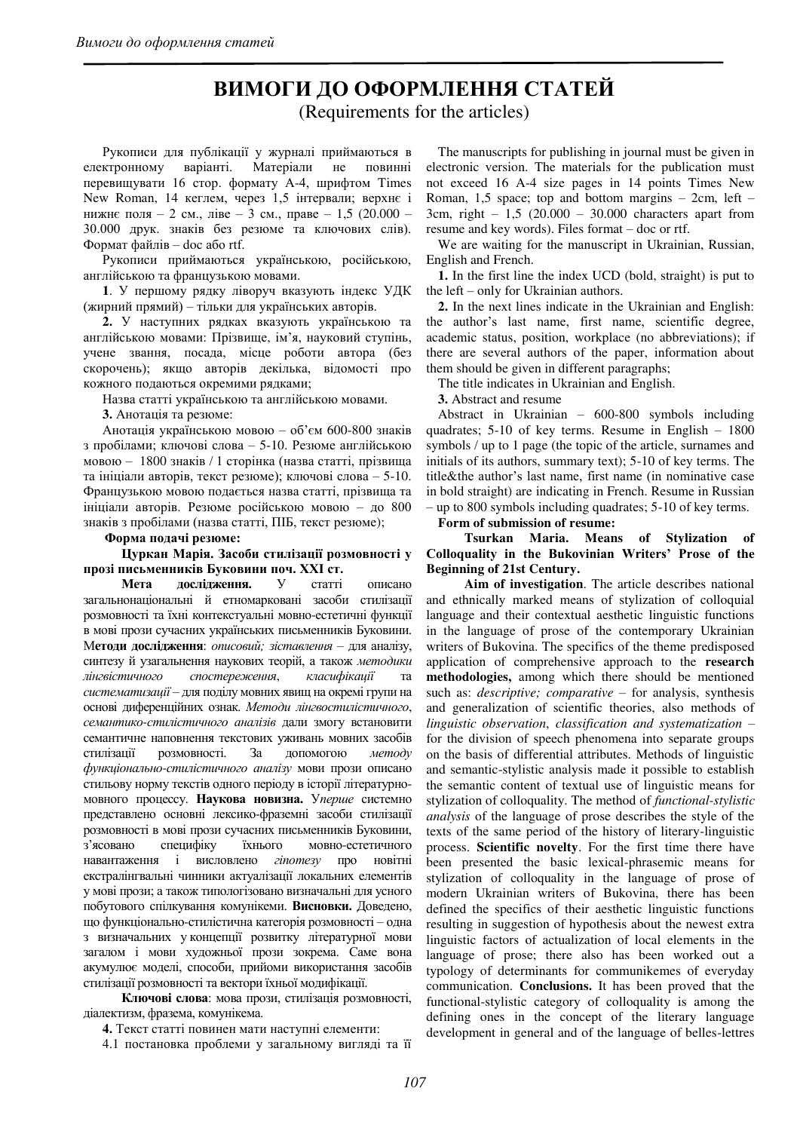# ВИМОГИ ДО ОФОРМЛЕННЯ СТАТЕЙ

(Requirements for the articles)

Рукописи для публікації у журналі приймаються в електронному варіанті. Матеріали не повинні перевищувати 16 стор. формату А-4, шрифтом Times New Roman, 14 кеглем, через 1,5 інтервали; верхнє і нижнє поля – 2 см., ліве – 3 см., праве – 1,5 (20.000 – 30.000 друк. знаків без резюме та ключових слів). Формат файлів – doc aбo rtf.

Рукописи приймаються українською, російською, англійською та французькою мовами.

1. У першому рядку ліворуч вказують індекс УДК (жирний прямий) – тільки для українських авторів.

2. У наступних рядках вказують українською та англійською мовами: Прізвище, ім'я, науковий ступінь, учене звання, посада, місце роботи автора (без скорочень); якщо авторів декілька, відомості про кожного подаються окремими рядками;

Назва статті українською та англійською мовами.

**3.** Анотація та резюме:

Анотація українською мовою – об'єм 600-800 знаків з пробілами; ключові слова – 5-10. Резюме англійською мовою – 1800 знаків / 1 сторінка (назва статті, прізвища та ініціали авторів, текст резюме); ключові слова - 5-10. Французькою мовою подається назва статті, прізвища та ініціали авторів. Резюме російською мовою - до 800 знаків з пробілами (назва статті, ПІБ, текст резюме);

#### Форма подачі резюме:

### **Шуркан Марія. Засоби стилізації розмовності у** прозі письменників Буковини поч. XXI ст.

**Мета дослідження.** У статті описано загальнонаціональні й етномарковані засоби стилізації розмовності та їхні контекстуальні мовно-естетичні функції в мові прози сучасних українських письменників Буковини. Методи дослідження: описовий; зіставлення – для аналізу, синтезу й узагальнення наукових теорій, а також методики дінгвістичного спостереження, класифікації та систематизації – для поділу мовних явищ на окремі групи на основі диференційних ознак. Методи лінгвостилістичного, семантико-стилістичного аналізів дали змогу встановити семантичне наповнення текстових уживань мовних засобів стилізації розмовності. За допомогою методу  $dy$ vнкціонально-стилістичного аналізу мови прози описано стильову норму текстів одного періоду в історії літературномовного процессу. Наукова новизна. Уперше системно представлено основні лексико-фраземні засоби стилізації розмовності в мові прози сучасних письменників Буковини, з'ясовано специфіку їхнього мовно-естетичного навантаження і висловлено *гіпотезу* про новітні екстралінгвальні чинники актуалізації локальних елементів у мові прози; а також типологізовано визначальні для усного побутового спілкування комунікеми. Висновки. Доведено, що функціонально-стилістична категорія розмовності – одна з визначальних у концепції розвитку літературної мови загалом і мови художньої прози зокрема. Саме вона акумулює моделі, способи, прийоми використання засобів стилізації розмовності та вектори їхньої модифікації.

Ключові слова: мова прози, стилізація розмовності, діалектизм, фразема, комунікема.

4. Текст статті повинен мати наступні елементи:

4.1 постановка проблеми у загальному вигляді та її

The manuscripts for publishing in journal must be given in electronic version. The materials for the publication must not exceed 16 A-4 size pages in 14 points Times New Roman, 1,5 space; top and bottom margins – 2cm, left – 3cm, right  $-1,5$  (20.000  $-30.000$  characters apart from resume and key words). Files format – doc or rtf.

We are waiting for the manuscript in Ukrainian, Russian, English and French.

**1.** In the first line the index UCD (bold, straight) is put to the left – only for Ukrainian authors.

**2.** In the next lines indicate in the Ukrainian and English: the author's last name, first name, scientific degree, academic status, position, workplace (no abbreviations); if there are several authors of the paper, information about them should be given in different paragraphs;

The title indicates in Ukrainian and English.

**3.** Abstract and resume

Abstract in Ukrainian – 600-800 symbols including quadrates; 5-10 of key terms. Resume in English – 1800 symbols / up to 1 page (the topic of the article, surnames and initials of its authors, summary text); 5-10 of key terms. The title&the author's last name, first name (in nominative case in bold straight) are indicating in French. Resume in Russian – up to 800 symbols including quadrates; 5-10 of key terms.

**Form of submission of resume:** 

**Tsurkan Maria. Means of Stylization of Colloquality in the Bukovinian Writers' Prose of the Beginning of 21st Century.** 

**Aim of investigation**. The article describes national and ethnically marked means of stylization of colloquial language and their contextual aesthetic linguistic functions in the language of prose of the contemporary Ukrainian writers of Bukovina. The specifics of the theme predisposed application of comprehensive approach to the **research methodologies,** among which there should be mentioned such as: *descriptive; comparative* – for analysis, synthesis and generalization of scientific theories, also methods of *linguistic observation*, *classification and systematization* – for the division of speech phenomena into separate groups on the basis of differential attributes. Methods of linguistic and semantic-stylistic analysis made it possible to establish the semantic content of textual use of linguistic means for stylization of colloquality. The method of *functional-stylistic analysis* of the language of prose describes the style of the texts of the same period of the history of literary-linguistic process. **Scientific novelty**. For the first time there have been presented the basic lexical-phrasemic means for stylization of colloquality in the language of prose of modern Ukrainian writers of Bukovina, there has been defined the specifics of their aesthetic linguistic functions resulting in suggestion of hypothesis about the newest extra linguistic factors of actualization of local elements in the language of prose; there also has been worked out a typology of determinants for communikemes of everyday communication. **Conclusions.** It has been proved that the functional-stylistic category of colloquality is among the defining ones in the concept of the literary language development in general and of the language of belles-lettres